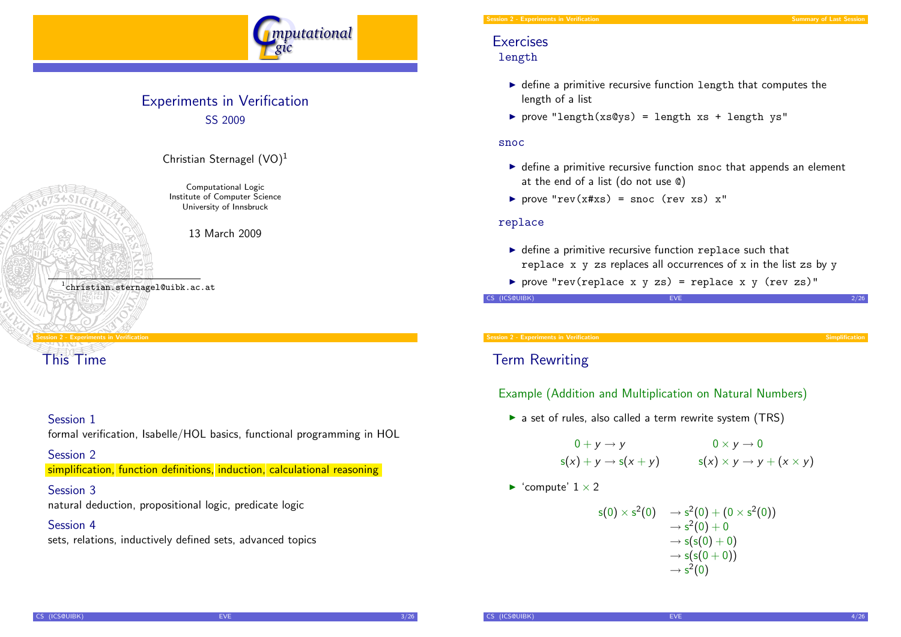

### Experiments in Verification SS 2009



Computational Logic Institute of Computer Science

Christian Sternagel  $(VO)^1$ 

University of Innsbruck

13 March 2009

1 christian.sternagel@uibk.ac.at

#### Session 2 - Experiments in Verification

[This Time](#page-0-0)

#### Session 1

formal verification, Isabelle/HOL basics, functional programming in HOL

Session 2

simplification, function definitions, induction, calculational reasoning

#### Session 3

natural deduction, propositional logic, predicate logic

#### Session 4

sets, relations, inductively defined sets, advanced topics

#### Session 2 - Experiments in Verification Summary of Last Session 2 - Summary of Last Session 2 - Summary of Last Sessi

#### **Exercises** length

- $\triangleright$  define a primitive recursive function length that computes the length of a list
- P prove "length(xs@ys) = length xs + length ys"

#### snoc

- $\triangleright$  define a primitive recursive function snoc that appends an element at the end of a list (do not use @)
- prove "rev( $x#xs$ ) = snoc (rev  $xs$ )  $x''$

#### replace

- $\triangleright$  define a primitive recursive function replace such that replace  $x \, y$  zs replaces all occurrences of  $x$  in the list zs by  $y$
- P prove "rev(replace x y zs) = replace x y (rev zs)"

CS (ICS@UIBK) 2/26

Session 2 - Experiments in Verification Simplification Simplification Simplification Simplification Simplification

### Term Rewriting

#### Example (Addition and Multiplication on Natural Numbers)

 $\triangleright$  a set of rules, also called a term rewrite system (TRS)

$$
0+y \to y
$$
  
s(x) + y \to s(x + y) 
$$
0 \times y \to 0
$$
  
s(x) \times y \to y + (x \times y)

<span id="page-0-0"></span> $\blacktriangleright$  'compute'  $1 \times 2$ 

$$
s(0) \times s^2(0) \longrightarrow s^2(0) + (0 \times s^2(0))
$$
  
\n
$$
\rightarrow s^2(0) + 0
$$
  
\n
$$
\rightarrow s(s(0) + 0)
$$
  
\n
$$
\rightarrow s(s(0+0))
$$
  
\n
$$
\rightarrow s^2(0)
$$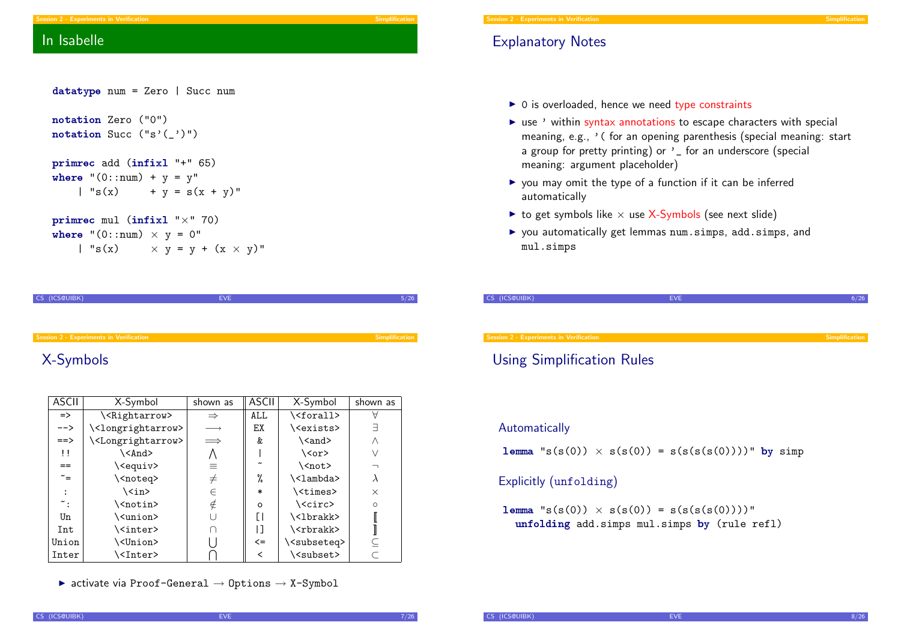#### Explanatory Notes

Session 2 - Experiments in Verification

- $\triangleright$  0 is overloaded, hence we need type constraints
- $\triangleright$  use ' within syntax annotations to escape characters with special meaning, e.g., ' ( for an opening parenthesis (special meaning: start a group for pretty printing) or ' for an underscore (special meaning: argument placeholder)
- $\triangleright$  you may omit the type of a function if it can be inferred automatically
- $\triangleright$  to get symbols like  $\times$  use X-Symbols (see next slide)
- ▶ you automatically get lemmas num.simps, add.simps, and mul.simps

| CS (ICS@UIBK)                                  | <b>EVE</b> |                |
|------------------------------------------------|------------|----------------|
|                                                |            |                |
|                                                |            |                |
| <b>Session 2 - Experiments in Verification</b> |            | Simplification |
|                                                |            |                |

#### Using Simplification Rules

#### Automatically

**lemma** "s(s(0))  $\times$  s(s(0)) = s(s(s(s(0))))" by simp

#### Explicitly (unfolding)

 ${\tt lemma}$  "s(s(0))  $\times$  s(s(0)) = s(s(s(s(0))))" unfolding add.simps mul.simps by (rule refl)

### In Isabelle

| datatype num = Zero   Succ num                                                             |
|--------------------------------------------------------------------------------------------|
| notation Zero ("0")<br>$notation$ Succ $("s'(\_)")$                                        |
| primrec add (infixl "+" 65)<br>where " $(0::num) + y = y"$<br>$\int$ "s(x) + y = s(x + y)" |
| $\texttt{primrec}$ mul (infixl " $\times$ " 70)                                            |
| where " $(0::num) \times y = 0$ "                                                          |
| $  \texttt{"s}(x) \times y = y + (x \times y) \texttt{"}$                                  |

CS (ICS@UIBK) 5/26

#### [X-Symbols](#page-0-0)

| <b>ASCII</b>      | X-Symbol                            | shown as      | <b>ASCII</b>          | X-Symbol                     | shown as |
|-------------------|-------------------------------------|---------------|-----------------------|------------------------------|----------|
| $\Rightarrow$     | \ <rightarrow></rightarrow>         | $\Rightarrow$ | ALL.                  | \ <forall></forall>          |          |
| $--&>$            | \ <longrightarrow></longrightarrow> |               | ЕX                    | \ <exists></exists>          | ╕        |
| $==$              | \ <longrightarrow></longrightarrow> | $\implies$    | &                     | \ <and></and>                | Λ        |
| $\mathbf{1}$      | \ <and></and>                       |               |                       | $\langle \text{cor} \rangle$ | ν        |
| $=$               | \ <equiv></equiv>                   | =             | $\tilde{\phantom{a}}$ | \ <not></not>                |          |
| $\tilde{}$ =      | \ <noteq></noteq>                   | $\neq$        | %                     | \ <lambda></lambda>          | λ        |
|                   | \ <in></in>                         | $\in$         | $\ast$                | \ <times></times>            | $\times$ |
| $\tilde{\cdot}$ : | \ <notin></notin>                   | ∉             | $\circ$               | \ <circ></circ>              | $\circ$  |
| Un                | \ <union></union>                   |               | ſ١                    | \ <lbrakk></lbrakk>          |          |
| Int               | \ <inter></inter>                   |               | ן ו                   | \ <rbrakk></rbrakk>          |          |
| Union             | \ <union></union>                   |               | $\leq$                | \ <subseteq></subseteq>      |          |
| Inter             | \ <inter></inter>                   |               | <                     | \ <subset></subset>          |          |

 $\triangleright$  activate via Proof-General  $\rightarrow$  Options  $\rightarrow$  X-Symbol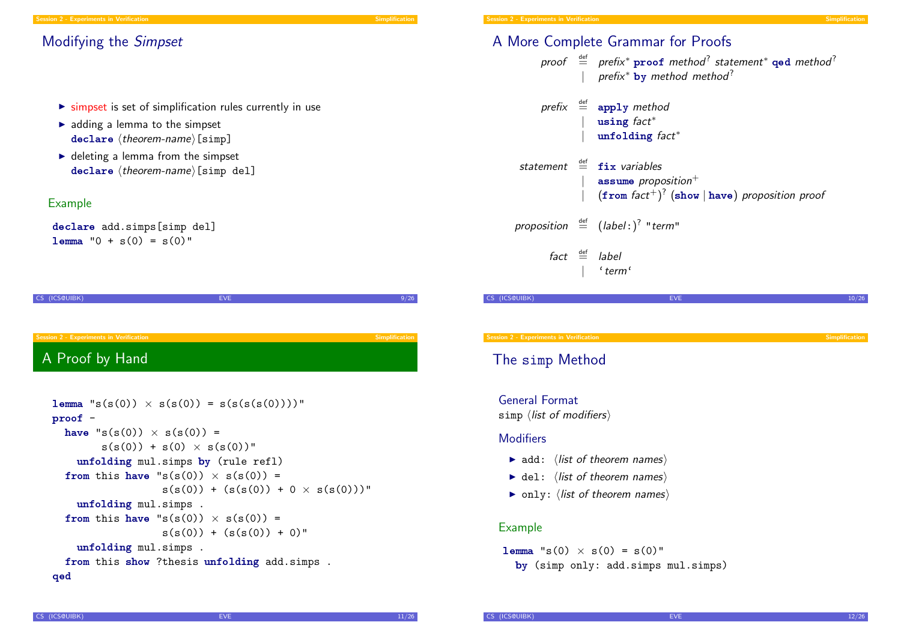#### Modifying the Simpset

- $\triangleright$  simpset is set of simplification rules currently in use
- $\blacktriangleright$  adding a lemma to the simpset  $\texttt{declane}$   $\langle \textit{theorem-name} \rangle$  [simp]
- $\blacktriangleright$  deleting a lemma from the simpset  $declar$ e (theorem-name)[simp del]

#### Example

declare add.simps[simp del]  $l_{\text{emm}}$  "0 + s(0) = s(0)"

CS (ICS@UIBK) EVE 9/26 [A Proof by H](#page-0-0)and

```
lemma "s(s(0)) \times s(s(0)) = s(s(s(s(0))))"
proof -
  have "s(s(0)) \times s(s(0)) =s(s(0)) + s(0) \times s(s(0))"
    unfolding mul.simps by (rule refl)
 from this have "s(s(0)) \times s(s(0)) =s(s(0)) + (s(s(0)) + 0 \times s(s(0)))"
    unfolding mul.simps .
 from this have "s(s(0)) \times s(s(0)) =s(s(0)) + (s(s(0)) + 0)"
    unfolding mul.simps .
 from this show ?thesis unfolding add.simps .
qed
```
## A More Complete Grammar for Proofs

#### proof  $\stackrel{\text{def}}{=}$  prefix\*  $\mathbf{proof}$  method<sup>?</sup> statement\*  $\mathbf{qed}$  method<sup>?</sup>  $prefix*$  by method method?

- $prefix \stackrel{\text{def}}{=} apply method$ using fact<sup>\*</sup> unfolding fact<sup>\*</sup>
- statement  $\stackrel{\text{def}}{=}$  fix variables assume proposition $^+$  $|$  (from fact $^{+})^{?}$  (show  $|$  have) proposition proof

proposition  $\stackrel{\text{def}}{=}$   $(label: )^?$  "term"

 $fact \stackrel{\text{def}}{=} label$  $'$  term $'$ 

 $\overline{\text{C}}$ S (ICS@UIBK) events and the contract of  $\overline{\text{E}}$  and  $\overline{\text{E}}$  and  $\overline{\text{E}}$  and  $\overline{\text{E}}$  and  $\overline{\text{E}}$  and  $\overline{\text{E}}$  and  $\overline{\text{E}}$  and  $\overline{\text{E}}$  and  $\overline{\text{E}}$  and  $\overline{\text{E}}$  and  $\overline{\text{E}}$  and  $\overline{\text$ 

Session 2 - Experiments in Verification Simplification Simplification Simplification Simplification Simplification

### The simp Method

General Format

simp  $\langle$  list of modifiers $\rangle$ 

#### **Modifiers**

- $\blacktriangleright$  add:  $\langle$  list of theorem names $\rangle$
- $\blacktriangleright$  del:  $\langle$  list of theorem names $\rangle$
- $\triangleright$  only:  $\langle$  list of theorem names $\rangle$

#### Example

**lemma** "s(0)  $\times$  s(0) = s(0)" by (simp only: add.simps mul.simps)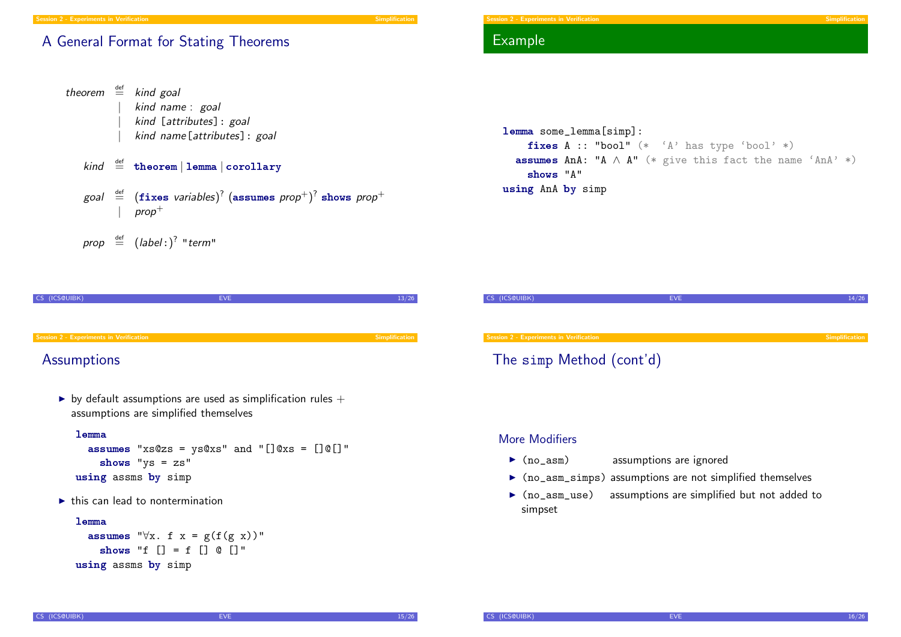#### A General Format for Stating Theorems

```
theorem \stackrel{\text{def}}{=} kind goal
                    kind name : goal
                    kind [attributes]: goal
                    kind name[attributes]: goal
     kind \stackrel{\text{def}}{=} theorem | lemma | corollary
      goal \stackrel{\scriptscriptstyle\rm def}{=} (\mathtt{fixes}\text{ variables})^? (\mathtt{assumes}\text{ prop}^+) ^? shows prop^+prop^+prop \stackrel{\text{def}}{=} (label:color"
```

```
CS (ICS@UIBK) EVE 13/26
Session 2 - Experiments in Verification Session 2 - Experiments in Verification Simplification Simplification
```
### **[Assumptions](#page-0-0)**

by default assumptions are used as simplification rules  $+$ assumptions are simplified themselves

#### lemma

```
assumes "xs@zs = ys@xs" and "[]@xs = []@[]"shows "ys = zs"
using assms by simp
```
 $\blacktriangleright$  this can lead to nontermination

#### lemma

```
assumes "\forall x. f x = g(f(g x))"
    shows "f [] = f [] @ []"using assms by simp
```
#### Example

```
lemma some_lemma[simp]:
    fixes A :: "bool" (* 'A' has type 'bool' *)
  assumes AnA: "A \wedge A" (* give this fact the name 'AnA' *)
    shows "A"
using AnA by simp
```


#### More Modifiers

- $\triangleright$  (no\_asm) assumptions are ignored
- $\triangleright$  (no\_asm\_simps) assumptions are not simplified themselves
- $\triangleright$  (no\_asm\_use) assumptions are simplified but not added to simpset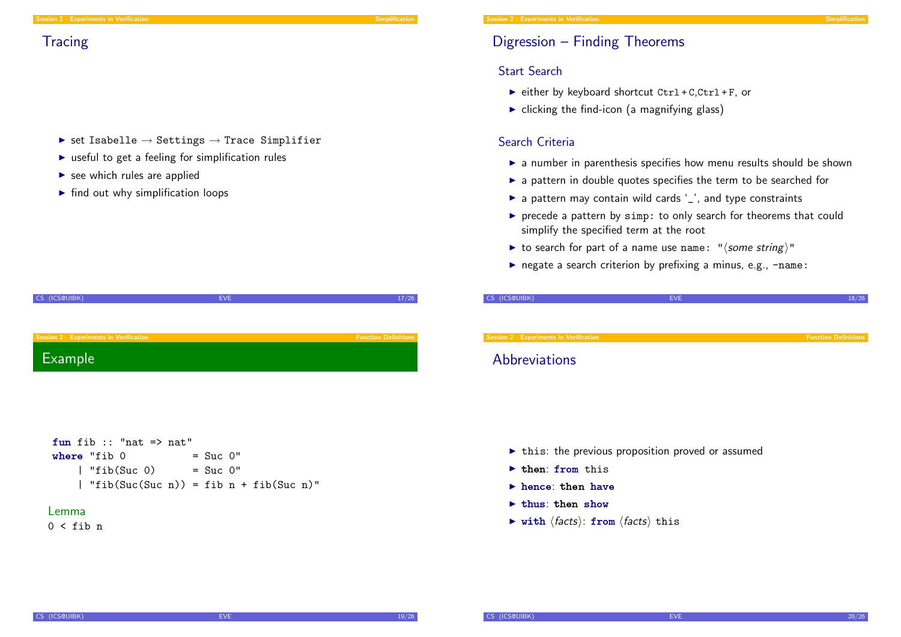- $\triangleright$  set Isabelle  $\rightarrow$  Settings  $\rightarrow$  Trace Simplifier
- $\triangleright$  useful to get a feeling for simplification rules
- $\blacktriangleright$  see which rules are applied
- $\blacktriangleright$  find out why simplification loops

| CS (ICS@UIBK)                                  | <b>EVE</b> | 17/26                       |
|------------------------------------------------|------------|-----------------------------|
|                                                |            |                             |
|                                                |            |                             |
|                                                |            |                             |
|                                                |            |                             |
| <b>Session 2 - Experiments in Verification</b> |            | <b>Function Definitions</b> |
|                                                |            |                             |
|                                                |            |                             |
| Example                                        |            |                             |
|                                                |            |                             |



#### Lemma

 $0 <$  fib n

### Digression – Finding Theorems

#### Start Search

- $\triangleright$  either by keyboard shortcut Ctrl + C,Ctrl + F, or
- $\triangleright$  clicking the find-icon (a magnifying glass)

#### Search Criteria

- $\triangleright$  a number in parenthesis specifies how menu results should be shown
- $\triangleright$  a pattern in double quotes specifies the term to be searched for
- $\triangleright$  a pattern may contain wild cards '\_', and type constraints
- $\triangleright$  precede a pattern by simp: to only search for theorems that could simplify the specified term at the root
- ight to search for part of a name use name: " $\langle$  some string)"
- $\triangleright$  negate a search criterion by prefixing a minus, e.g.,  $\neg$ name:

| CS (ICS@UIBK)                           | <b>EVE</b> | 18/26                       |
|-----------------------------------------|------------|-----------------------------|
|                                         |            |                             |
|                                         |            |                             |
|                                         |            |                             |
| Session 2 - Experiments in Verification |            | <b>Function Definitions</b> |

#### **Abbreviations**

- $\triangleright$  this: the previous proposition proved or assumed
- $\blacktriangleright$  then: from this
- $\blacktriangleright$  hence: then have
- $\blacktriangleright$  thus: then show
- $\triangleright$  with  $\langle facts \rangle$ : from  $\langle facts \rangle$  this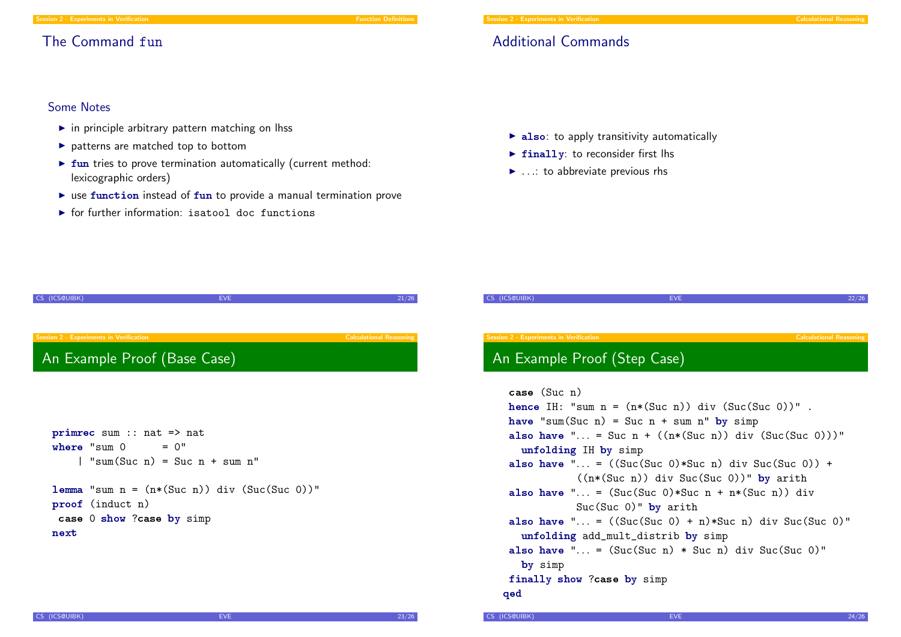#### Session 2 - Experiments in Verification Function Function Definition Definition Definition

### The Command fun

Additional Commands

#### Some Notes

- $\blacktriangleright$  in principle arbitrary pattern matching on lhss
- $\blacktriangleright$  patterns are matched top to bottom
- $\triangleright$  fun tries to prove termination automatically (current method: lexicographic orders)
- $\triangleright$  use function instead of fun to provide a manual termination prove
- $\triangleright$  for further information: isatool doc functions
- $\triangleright$  also: to apply transitivity automatically
- $\triangleright$  finally: to reconsider first lhs
- $\blacktriangleright$  ...: to abbreviate previous rhs

| CS (ICS@UIBK)                                  | <b>EVE</b>                                                                        | 21/26                          |
|------------------------------------------------|-----------------------------------------------------------------------------------|--------------------------------|
|                                                |                                                                                   |                                |
|                                                |                                                                                   |                                |
| <b>Session 2 - Experiments in Verification</b> |                                                                                   | <b>Calculational Reasoning</b> |
| An Example Proof (Base Case)                   |                                                                                   |                                |
|                                                |                                                                                   |                                |
|                                                |                                                                                   |                                |
|                                                |                                                                                   |                                |
|                                                |                                                                                   |                                |
|                                                |                                                                                   |                                |
| $\text{prime sum}$ :: nat => nat               |                                                                                   |                                |
| where "sum O                                   | $= 0"$                                                                            |                                |
|                                                | $\vert$ "sum(Suc n) = Suc n + sum n"                                              |                                |
|                                                |                                                                                   |                                |
|                                                | <b>lemma</b> "sum $n = (n*(\text{Suc } n))$ div $(\text{Suc } (\text{Suc } 0))$ " |                                |
| proof (induct n)                               |                                                                                   |                                |
| case 0 show ?case by simp                      |                                                                                   |                                |
| next                                           |                                                                                   |                                |
|                                                |                                                                                   |                                |
|                                                |                                                                                   |                                |
|                                                |                                                                                   |                                |

# CS (ICS@UIBK) EVE 22/26

### An Example Proof (Step Case)

```
case (Suc n)
hence IH: "sum n = (n*(\text{Suc } n)) div (\text{Suc } (\text{Suc } 0))".
have "sum(Suc n) = Suc n + sum n" by simp
 also have "... = Suc n + ((n*(Suc n)) div (Suc(Suc 0)))"
   unfolding IH by simp
 also have "... = ((\text{Suc } (Suc 0)*Suc n) div \text{Suc} (\text{Suc } 0)) +
             ((n*(Suc n)) div Suc(Suc 0))" by arith
 also have "... = (Suc(Suc 0)*Suc n + n*(Suc n)) div
             Suc(Suc 0)" by arith
 also have "... = ((\text{Suc(Suc 0) + n)*\text{Suc n}) div \text{Suc(Suc 0)"}unfolding add_mult_distrib by simp
 also have "... = (Suc(Suc n) * Suc n) div Suc(Suc 0)"
   by simp
finally show ?case by simp
qed
```
CS (ICS@UIBK) 24/26